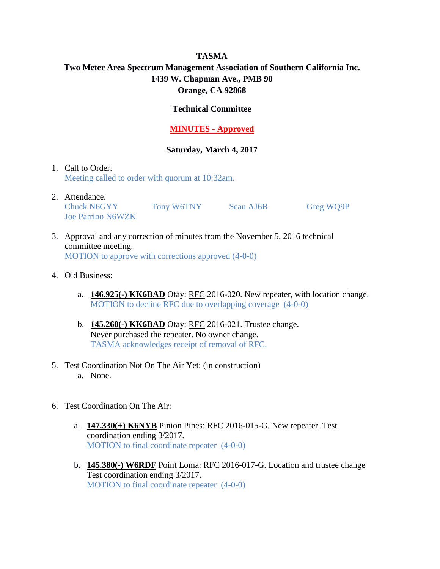# **TASMA Two Meter Area Spectrum Management Association of Southern California Inc. 1439 W. Chapman Ave., PMB 90 Orange, CA 92868**

## **Technical Committee**

## **MINUTES - Approved**

### **Saturday, March 4, 2017**

- 1. Call to Order. Meeting called to order with quorum at 10:32am.
- 2. Attendance. Chuck N6GYY Tony W6TNY Sean AJ6B Greg WQ9P Joe Parrino N6WZK
- 3. Approval and any correction of minutes from the November 5, 2016 technical committee meeting. MOTION to approve with corrections approved (4-0-0)
- 4. Old Business:
	- a. **146.925(-) KK6BAD** Otay: RFC 2016-020. New repeater, with location change. MOTION to decline RFC due to overlapping coverage (4-0-0)
	- b. **145.260(-) KK6BAD** Otay: RFC 2016-021. Trustee change. Never purchased the repeater. No owner change. TASMA acknowledges receipt of removal of RFC.
- 5. Test Coordination Not On The Air Yet: (in construction) a. None.
- 6. Test Coordination On The Air:
	- a. **147.330(+) K6NYB** Pinion Pines: RFC 2016-015-G. New repeater. Test coordination ending 3/2017. MOTION to final coordinate repeater (4-0-0)
	- b. **145.380(-) W6RDF** Point Loma: RFC 2016-017-G. Location and trustee change Test coordination ending 3/2017. MOTION to final coordinate repeater (4-0-0)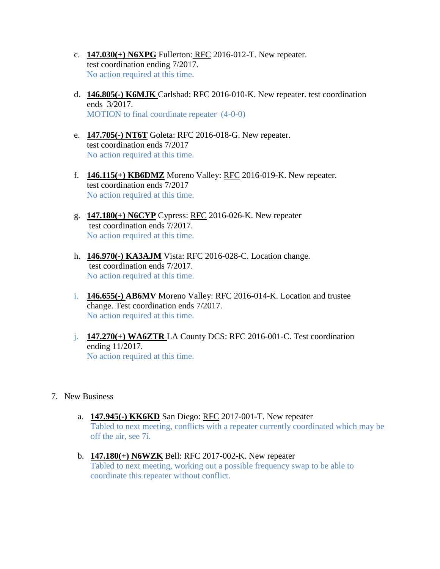- c. **147.030(+) N6XPG** Fullerton: RFC 2016-012-T. New repeater. test coordination ending 7/2017. No action required at this time.
- d. **146.805(-) K6MJK** Carlsbad: RFC 2016-010-K. New repeater. test coordination ends 3/2017. MOTION to final coordinate repeater (4-0-0)
- e. **147.705(-) NT6T** Goleta: RFC 2016-018-G. New repeater. test coordination ends 7/2017 No action required at this time.
- f. **146.115(+) KB6DMZ** Moreno Valley: RFC 2016-019-K. New repeater. test coordination ends 7/2017 No action required at this time.
- g. **147.180(+) N6CYP** Cypress: RFC 2016-026-K. New repeater test coordination ends 7/2017. No action required at this time.
- h. **146.970(-) KA3AJM** Vista: RFC 2016-028-C. Location change. test coordination ends 7/2017. No action required at this time.
- i. **146.655(-) AB6MV** Moreno Valley: RFC 2016-014-K. Location and trustee change. Test coordination ends 7/2017. No action required at this time.
- j. **147.270(+) WA6ZTR** LA County DCS: RFC 2016-001-C. Test coordination ending 11/2017. No action required at this time.
- 7. New Business
	- a. **147.945(-) KK6KD** San Diego: RFC 2017-001-T. New repeater Tabled to next meeting, conflicts with a repeater currently coordinated which may be off the air, see 7i.
	- b. **147.180(+) N6WZK** Bell: RFC 2017-002-K. New repeater Tabled to next meeting, working out a possible frequency swap to be able to coordinate this repeater without conflict.